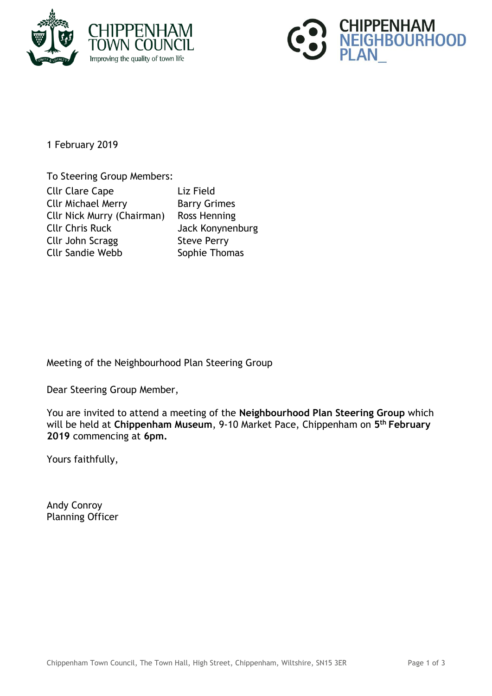



1 February 2019

To Steering Group Members: Cllr Clare Cape Liz Field Cllr Michael Merry **Barry Grimes** Cllr Nick Murry (Chairman) Ross Henning Cllr Chris Ruck Jack Konynenburg Cllr John Scragg Steve Perry Cllr Sandie Webb Sophie Thomas

Meeting of the Neighbourhood Plan Steering Group

Dear Steering Group Member,

You are invited to attend a meeting of the **Neighbourhood Plan Steering Group** which will be held at **Chippenham Museum**, 9-10 Market Pace, Chippenham on **5 th February 2019** commencing at **6pm.**

Yours faithfully,

Andy Conroy Planning Officer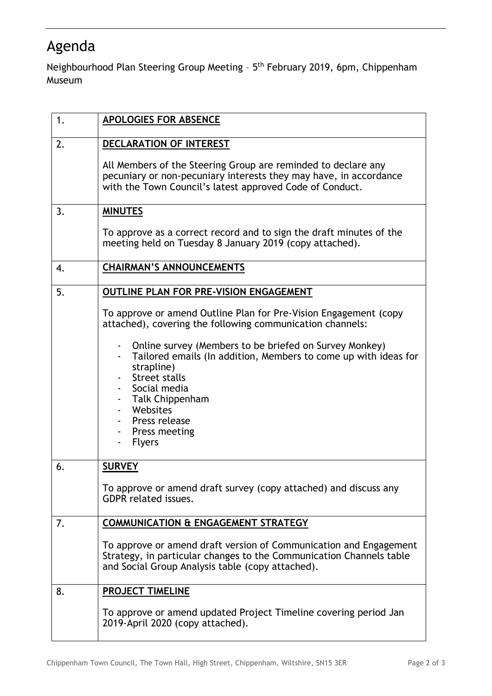## Agenda

Neighbourhood Plan Steering Group Meeting - 5<sup>th</sup> February 2019, 6pm, Chippenham Museum

| 1. | <b>APOLOGIES FOR ABSENCE</b>                                                                                                                                                                                                                               |
|----|------------------------------------------------------------------------------------------------------------------------------------------------------------------------------------------------------------------------------------------------------------|
| 2. | DECLARATION OF INTEREST                                                                                                                                                                                                                                    |
|    | All Members of the Steering Group are reminded to declare any<br>pecuniary or non-pecuniary interests they may have, in accordance<br>with the Town Council's latest approved Code of Conduct.                                                             |
| 3. | <b>MINUTES</b>                                                                                                                                                                                                                                             |
|    | To approve as a correct record and to sign the draft minutes of the<br>meeting held on Tuesday 8 January 2019 (copy attached).                                                                                                                             |
| 4. | <b>CHAIRMAN'S ANNOUNCEMENTS</b>                                                                                                                                                                                                                            |
| 5. | OUTLINE PLAN FOR PRE-VISION ENGAGEMENT                                                                                                                                                                                                                     |
|    | To approve or amend Outline Plan for Pre-Vision Engagement (copy<br>attached), covering the following communication channels:                                                                                                                              |
|    | Online survey (Members to be briefed on Survey Monkey)<br>Tailored emails (In addition, Members to come up with ideas for<br>strapline)<br>Street stalls<br>Social media<br>Talk Chippenham<br>Websites<br>Press release<br>Press meeting<br><b>Flyers</b> |
| 6. | <b>SURVEY</b>                                                                                                                                                                                                                                              |
|    | To approve or amend draft survey (copy attached) and discuss any<br><b>GDPR</b> related issues.                                                                                                                                                            |
| 7. | <b>COMMUNICATION &amp; ENGAGEMENT STRATEGY</b>                                                                                                                                                                                                             |
|    | To approve or amend draft version of Communication and Engagement<br>Strategy, in particular changes to the Communication Channels table<br>and Social Group Analysis table (copy attached).                                                               |
| 8. | PROJECT TIMELINE                                                                                                                                                                                                                                           |
|    | To approve or amend updated Project Timeline covering period Jan<br>2019-April 2020 (copy attached).                                                                                                                                                       |